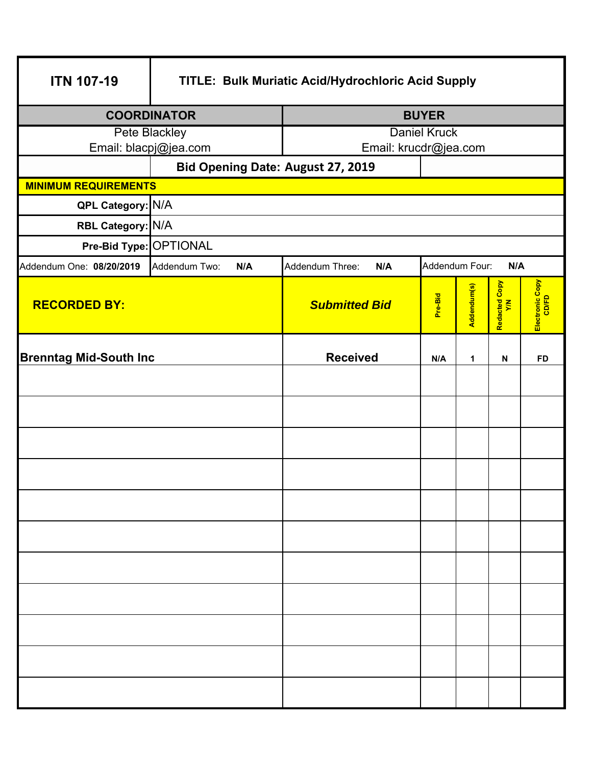| <b>ITN 107-19</b>             | TITLE: Bulk Muriatic Acid/Hydrochloric Acid Supply |                        |                |              |                      |                          |  |
|-------------------------------|----------------------------------------------------|------------------------|----------------|--------------|----------------------|--------------------------|--|
| <b>COORDINATOR</b>            |                                                    |                        | <b>BUYER</b>   |              |                      |                          |  |
| Pete Blackley                 |                                                    | <b>Daniel Kruck</b>    |                |              |                      |                          |  |
|                               | Email: blacpj@jea.com                              | Email: krucdr@jea.com  |                |              |                      |                          |  |
|                               | Bid Opening Date: August 27, 2019                  |                        |                |              |                      |                          |  |
|                               | <b>MINIMUM REQUIREMENTS</b>                        |                        |                |              |                      |                          |  |
| QPL Category: N/A             |                                                    |                        |                |              |                      |                          |  |
| RBL Category: N/A             |                                                    |                        |                |              |                      |                          |  |
| Pre-Bid Type: OPTIONAL        |                                                    |                        |                |              |                      |                          |  |
| Addendum One: 08/20/2019      | Addendum Two:<br>N/A                               | Addendum Three:<br>N/A | Addendum Four: |              | N/A                  |                          |  |
| <b>RECORDED BY:</b>           |                                                    | <b>Submitted Bid</b>   | Pre-Bid        | Addendum(s)  | Redacted Copy<br>Y/N | Electronic Copy<br>CD/FD |  |
| <b>Brenntag Mid-South Inc</b> |                                                    | <b>Received</b>        | N/A            | $\mathbf{1}$ | $\mathbf N$          | <b>FD</b>                |  |
|                               |                                                    |                        |                |              |                      |                          |  |
|                               |                                                    |                        |                |              |                      |                          |  |
|                               |                                                    |                        |                |              |                      |                          |  |
|                               |                                                    |                        |                |              |                      |                          |  |
|                               |                                                    |                        |                |              |                      |                          |  |
|                               |                                                    |                        |                |              |                      |                          |  |
|                               |                                                    |                        |                |              |                      |                          |  |
|                               |                                                    |                        |                |              |                      |                          |  |
|                               |                                                    |                        |                |              |                      |                          |  |
|                               |                                                    |                        |                |              |                      |                          |  |
|                               |                                                    |                        |                |              |                      |                          |  |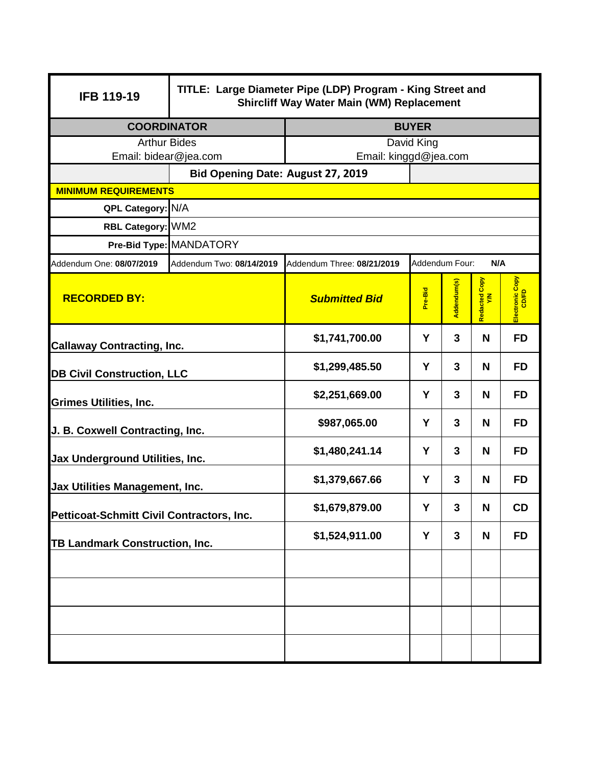| <b>IFB 119-19</b>                                | TITLE: Large Diameter Pipe (LDP) Program - King Street and<br><b>Shircliff Way Water Main (WM) Replacement</b> |                                                     |         |              |                    |                          |  |
|--------------------------------------------------|----------------------------------------------------------------------------------------------------------------|-----------------------------------------------------|---------|--------------|--------------------|--------------------------|--|
| <b>COORDINATOR</b>                               |                                                                                                                | <b>BUYER</b>                                        |         |              |                    |                          |  |
| <b>Arthur Bides</b>                              |                                                                                                                | David King                                          |         |              |                    |                          |  |
| Email: bidear@jea.com                            |                                                                                                                | Email: kinggd@jea.com                               |         |              |                    |                          |  |
|                                                  |                                                                                                                | Bid Opening Date: August 27, 2019                   |         |              |                    |                          |  |
| <b>MINIMUM REQUIREMENTS</b><br>QPL Category: N/A |                                                                                                                |                                                     |         |              |                    |                          |  |
| RBL Category: WM2                                |                                                                                                                |                                                     |         |              |                    |                          |  |
|                                                  | Pre-Bid Type: MANDATORY                                                                                        |                                                     |         |              |                    |                          |  |
| Addendum One: 08/07/2019                         | Addendum Two: 08/14/2019                                                                                       | Addendum Four:<br>N/A<br>Addendum Three: 08/21/2019 |         |              |                    |                          |  |
| <b>RECORDED BY:</b>                              |                                                                                                                | <b>Submitted Bid</b>                                | Pre-Bid | Addendum(s)  | Copy<br>Redacted C | Electronic Copy<br>CD/FD |  |
| <b>Callaway Contracting, Inc.</b>                |                                                                                                                | \$1,741,700.00                                      | Y       | 3            | N                  | <b>FD</b>                |  |
| <b>DB Civil Construction, LLC</b>                |                                                                                                                | \$1,299,485.50                                      | Y       | 3            | N                  | <b>FD</b>                |  |
| <b>Grimes Utilities, Inc.</b>                    |                                                                                                                | \$2,251,669.00                                      | Y       | 3            | N                  | <b>FD</b>                |  |
| J. B. Coxwell Contracting, Inc.                  |                                                                                                                | \$987,065.00                                        | Y       | 3            | N                  | <b>FD</b>                |  |
| Jax Underground Utilities, Inc.                  |                                                                                                                | \$1,480,241.14                                      | Y       | 3            | N                  | <b>FD</b>                |  |
| Jax Utilities Management, Inc.                   |                                                                                                                | \$1,379,667.66                                      | Y       | 3            | N                  | <b>FD</b>                |  |
| Petticoat-Schmitt Civil Contractors, Inc.        |                                                                                                                | \$1,679,879.00                                      | Y       | $\mathbf{3}$ | N                  | CD                       |  |
| <b>TB Landmark Construction, Inc.</b>            |                                                                                                                | \$1,524,911.00                                      | Y       | 3            | N                  | <b>FD</b>                |  |
|                                                  |                                                                                                                |                                                     |         |              |                    |                          |  |
|                                                  |                                                                                                                |                                                     |         |              |                    |                          |  |
|                                                  |                                                                                                                |                                                     |         |              |                    |                          |  |
|                                                  |                                                                                                                |                                                     |         |              |                    |                          |  |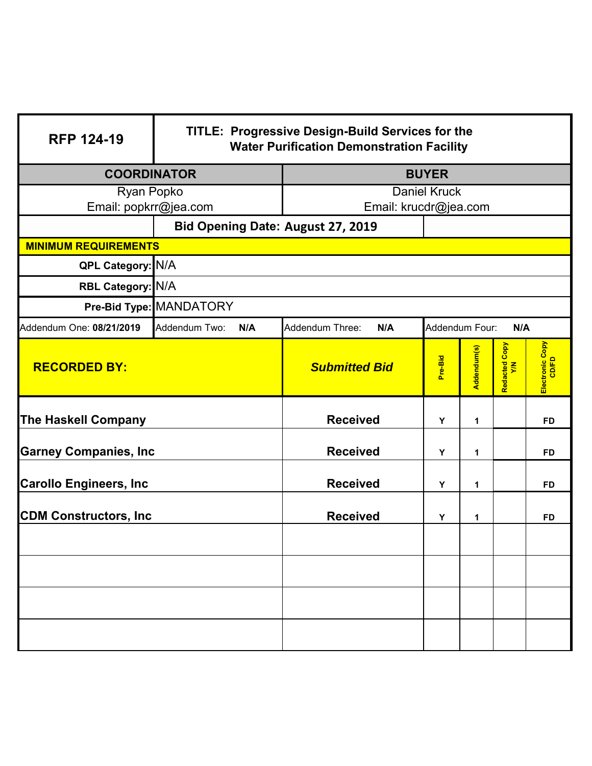| <b>RFP 124-19</b>             | TITLE: Progressive Design-Build Services for the<br><b>Water Purification Demonstration Facility</b> |                        |                       |             |                    |                          |  |
|-------------------------------|------------------------------------------------------------------------------------------------------|------------------------|-----------------------|-------------|--------------------|--------------------------|--|
| <b>COORDINATOR</b>            |                                                                                                      | <b>BUYER</b>           |                       |             |                    |                          |  |
| Ryan Popko                    |                                                                                                      | <b>Daniel Kruck</b>    |                       |             |                    |                          |  |
| Email: popkrr@jea.com         |                                                                                                      | Email: krucdr@jea.com  |                       |             |                    |                          |  |
|                               | Bid Opening Date: August 27, 2019                                                                    |                        |                       |             |                    |                          |  |
| <b>MINIMUM REQUIREMENTS</b>   |                                                                                                      |                        |                       |             |                    |                          |  |
| QPL Category: N/A             |                                                                                                      |                        |                       |             |                    |                          |  |
| RBL Category: N/A             |                                                                                                      |                        |                       |             |                    |                          |  |
|                               | Pre-Bid Type: MANDATORY                                                                              |                        |                       |             |                    |                          |  |
| Addendum One: 08/21/2019      | Addendum Two:<br>N/A                                                                                 | Addendum Three:<br>N/A | Addendum Four:<br>N/A |             |                    |                          |  |
| <b>RECORDED BY:</b>           |                                                                                                      | <b>Submitted Bid</b>   | Pre-Bid               | Addendum(s) | Redacted Copy<br>ξ | Electronic Copy<br>CD/FD |  |
| <b>The Haskell Company</b>    |                                                                                                      | <b>Received</b>        | Υ                     | 1           |                    | FD                       |  |
| <b>Garney Companies, Inc</b>  |                                                                                                      | <b>Received</b>        | Y                     | 1           |                    | <b>FD</b>                |  |
| <b>Carollo Engineers, Inc</b> |                                                                                                      | <b>Received</b>        | Υ<br>1                |             | <b>FD</b>          |                          |  |
| <b>CDM Constructors, Inc.</b> |                                                                                                      | <b>Received</b>        | Υ                     | 1           |                    | <b>FD</b>                |  |
|                               |                                                                                                      |                        |                       |             |                    |                          |  |
|                               |                                                                                                      |                        |                       |             |                    |                          |  |
|                               |                                                                                                      |                        |                       |             |                    |                          |  |
|                               |                                                                                                      |                        |                       |             |                    |                          |  |